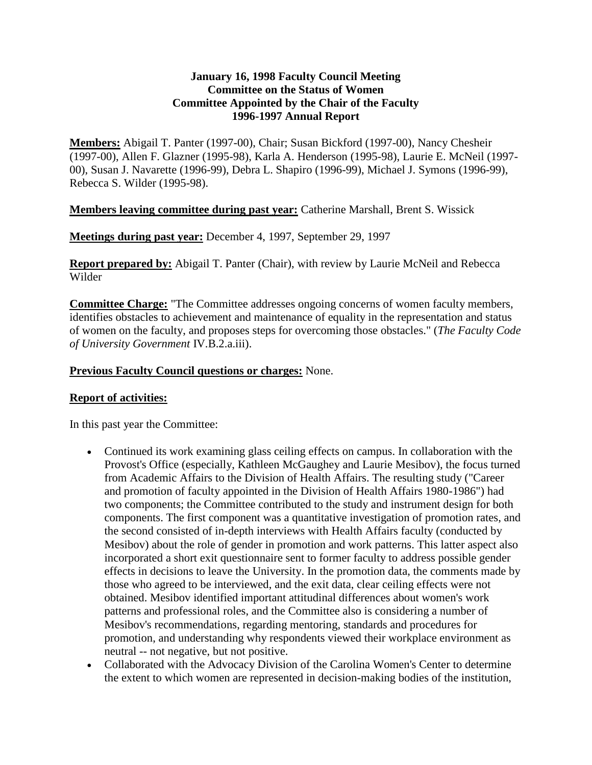# **January 16, 1998 Faculty Council Meeting Committee on the Status of Women Committee Appointed by the Chair of the Faculty 1996-1997 Annual Report**

**Members:** Abigail T. Panter (1997-00), Chair; Susan Bickford (1997-00), Nancy Chesheir (1997-00), Allen F. Glazner (1995-98), Karla A. Henderson (1995-98), Laurie E. McNeil (1997- 00), Susan J. Navarette (1996-99), Debra L. Shapiro (1996-99), Michael J. Symons (1996-99), Rebecca S. Wilder (1995-98).

# **Members leaving committee during past year:** Catherine Marshall, Brent S. Wissick

**Meetings during past year:** December 4, 1997, September 29, 1997

**Report prepared by:** Abigail T. Panter (Chair), with review by Laurie McNeil and Rebecca Wilder

**Committee Charge:** "The Committee addresses ongoing concerns of women faculty members, identifies obstacles to achievement and maintenance of equality in the representation and status of women on the faculty, and proposes steps for overcoming those obstacles." (*The Faculty Code of University Government* IV.B.2.a.iii).

### **Previous Faculty Council questions or charges:** None.

### **Report of activities:**

In this past year the Committee:

- Continued its work examining glass ceiling effects on campus. In collaboration with the Provost's Office (especially, Kathleen McGaughey and Laurie Mesibov), the focus turned from Academic Affairs to the Division of Health Affairs. The resulting study ("Career and promotion of faculty appointed in the Division of Health Affairs 1980-1986") had two components; the Committee contributed to the study and instrument design for both components. The first component was a quantitative investigation of promotion rates, and the second consisted of in-depth interviews with Health Affairs faculty (conducted by Mesibov) about the role of gender in promotion and work patterns. This latter aspect also incorporated a short exit questionnaire sent to former faculty to address possible gender effects in decisions to leave the University. In the promotion data, the comments made by those who agreed to be interviewed, and the exit data, clear ceiling effects were not obtained. Mesibov identified important attitudinal differences about women's work patterns and professional roles, and the Committee also is considering a number of Mesibov's recommendations, regarding mentoring, standards and procedures for promotion, and understanding why respondents viewed their workplace environment as neutral -- not negative, but not positive.
- Collaborated with the Advocacy Division of the Carolina Women's Center to determine the extent to which women are represented in decision-making bodies of the institution,